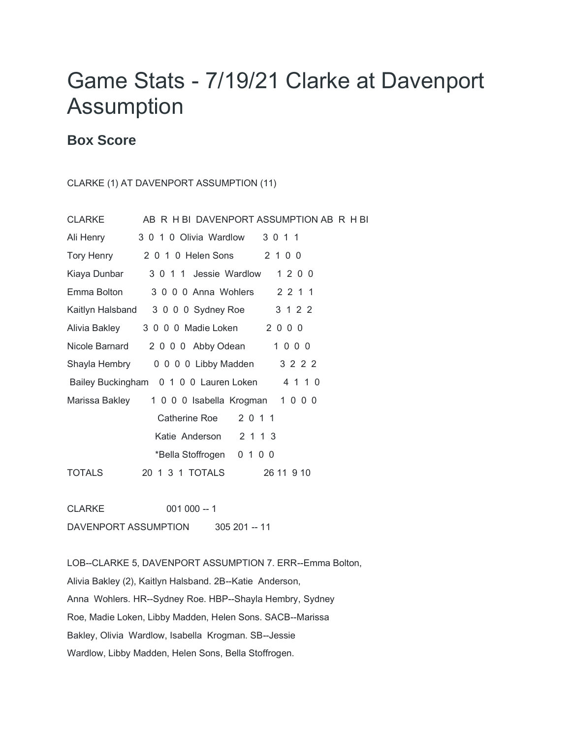## Game Stats - 7/19/21 Clarke at Davenport Assumption

## **Box Score**

CLARKE (1) AT DAVENPORT ASSUMPTION (11)

| CLARKE           | AB R H BI DAVENPORT ASSUMPTION AB R H BI       |
|------------------|------------------------------------------------|
| Ali Henry        | 3 0 1 0 Olivia Wardlow 3 0 1 1                 |
| Tory Henry       | 2 0 1 0 Helen Sons 2 1 0 0                     |
| Kiaya Dunbar     | 1 2 0 0<br>3 0 1 1 Jessie Wardlow              |
| Emma Bolton      | 3 0 0 0 Anna Wohlers<br>2 2 1 1                |
| Kaitlyn Halsband | 3 1 2 2<br>3 0 0 0 Sydney Roe                  |
| Alivia Bakley    | 2000<br>3 0 0 0 Madie Loken                    |
| Nicole Barnard   | 2 0 0 0 Abby Odean<br>1000                     |
|                  | 3 2 2 2<br>Shayla Hembry 00000 Libby Madden    |
|                  | Bailey Buckingham 0 1 0 0 Lauren Loken 4 1 1 0 |
| Marissa Bakley   | 1 0 0 0 Isabella Krogman 1 0 0 0               |
|                  | 2 0 1 1<br>Catherine Roe                       |
|                  | Katie Anderson 2 1 1 3                         |
|                  | *Bella Stoffrogen 0 1 0 0                      |
| TOTALS           | 26 11 9 10                                     |
|                  |                                                |

CLARKE 001 000 -- 1 DAVENPORT ASSUMPTION 305 201 -- 11

LOB--CLARKE 5, DAVENPORT ASSUMPTION 7. ERR--Emma Bolton, Alivia Bakley (2), Kaitlyn Halsband. 2B--Katie Anderson, Anna Wohlers. HR--Sydney Roe. HBP--Shayla Hembry, Sydney Roe, Madie Loken, Libby Madden, Helen Sons. SACB--Marissa Bakley, Olivia Wardlow, Isabella Krogman. SB--Jessie Wardlow, Libby Madden, Helen Sons, Bella Stoffrogen.